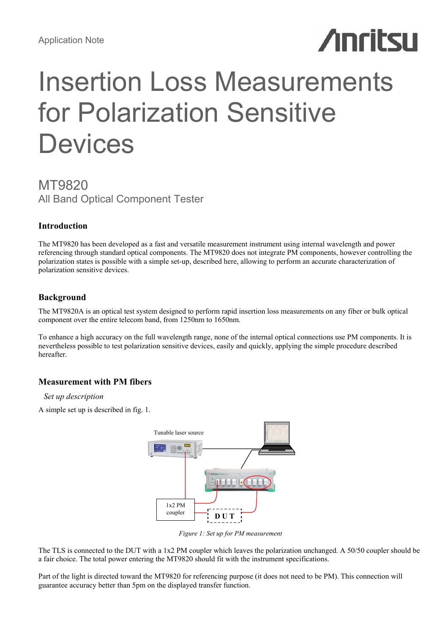# **Anritsu**

# Insertion Loss Measurements for Polarization Sensitive **Devices**

# MT9820 All Band Optical Component Tester

# **Introduction**

The MT9820 has been developed as a fast and versatile measurement instrument using internal wavelength and power referencing through standard optical components. The MT9820 does not integrate PM components, however controlling the polarization states is possible with a simple set-up, described here, allowing to perform an accurate characterization of polarization sensitive devices.

# **Background**

The MT9820A is an optical test system designed to perform rapid insertion loss measurements on any fiber or bulk optical component over the entire telecom band, from 1250nm to 1650nm.

To enhance a high accuracy on the full wavelength range, none of the internal optical connections use PM components. It is nevertheless possible to test polarization sensitive devices, easily and quickly, applying the simple procedure described hereafter.

# **Measurement with PM fibers**

# *Set up description*

A simple set up is described in fig. 1.



*Figure 1: Set up for PM measurement* 

The TLS is connected to the DUT with a 1x2 PM coupler which leaves the polarization unchanged. A 50/50 coupler should be a fair choice. The total power entering the MT9820 should fit with the instrument specifications.

Part of the light is directed toward the MT9820 for referencing purpose (it does not need to be PM). This connection will guarantee accuracy better than 5pm on the displayed transfer function.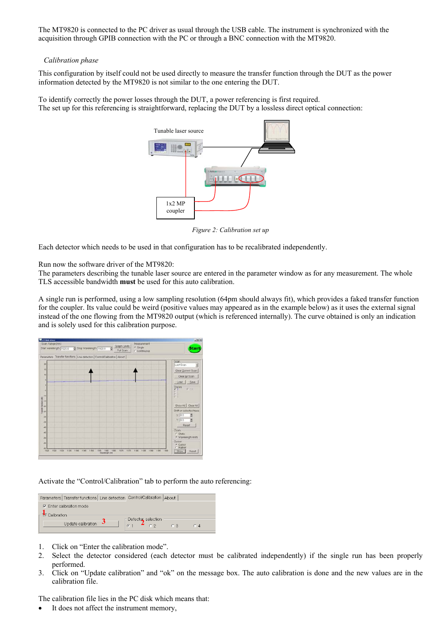The MT9820 is connected to the PC driver as usual through the USB cable. The instrument is synchronized with the acquisition through GPIB connection with the PC or through a BNC connection with the MT9820.

# *Calibration phase*

This configuration by itself could not be used directly to measure the transfer function through the DUT as the power information detected by the MT9820 is not similar to the one entering the DUT.

To identify correctly the power losses through the DUT, a power referencing is first required. The set up for this referencing is straightforward, replacing the DUT by a lossless direct optical connection:



*Figure 2: Calibration set up* 

Each detector which needs to be used in that configuration has to be recalibrated independently.

Run now the software driver of the MT9820:

The parameters describing the tunable laser source are entered in the parameter window as for any measurement. The whole TLS accessible bandwidth **must** be used for this auto calibration.

A single run is performed, using a low sampling resolution (64pm should always fit), which provides a faked transfer function for the coupler. Its value could be weird (positive values may appeared as in the example below) as it uses the external signal instead of the one flowing from the MT9820 output (which is referenced internally). The curve obtained is only an indication and is solely used for this calibration purpose.



Activate the "Control/Calibration" tab to perform the auto referencing:

| Parameters   Transfer functions   Line detection   Control/Calibration   About |                                  |
|--------------------------------------------------------------------------------|----------------------------------|
| $\nabla$ Enter calibration mode                                                |                                  |
| <b>TF</b> Calibration                                                          |                                  |
| Update calibration                                                             | - Detector selection             |
|                                                                                | $61 \quad 402$<br>C.3<br>$C_{4}$ |

- 1. Click on "Enter the calibration mode".
- 2. Select the detector considered (each detector must be calibrated independently) if the single run has been properly performed.
- 3. Click on "Update calibration" and "ok" on the message box. The auto calibration is done and the new values are in the calibration file.

The calibration file lies in the PC disk which means that:

It does not affect the instrument memory,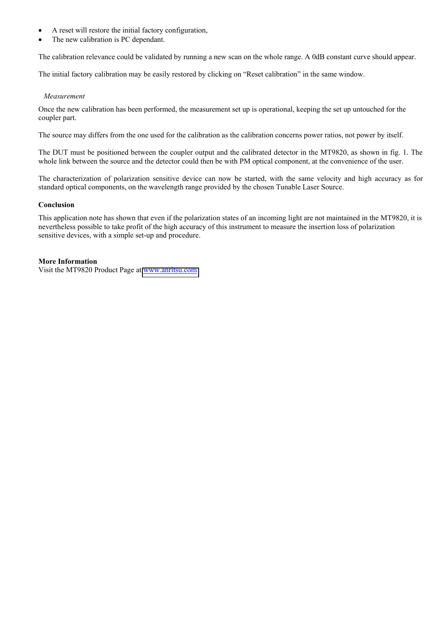- A reset will restore the initial factory configuration,
- The new calibration is PC dependant.

The calibration relevance could be validated by running a new scan on the whole range. A 0dB constant curve should appear.

The initial factory calibration may be easily restored by clicking on "Reset calibration" in the same window.

# *Measurement*

Once the new calibration has been performed, the measurement set up is operational, keeping the set up untouched for the coupler part.

The source may differs from the one used for the calibration as the calibration concerns power ratios, not power by itself.

The DUT must be positioned between the coupler output and the calibrated detector in the MT9820, as shown in fig. 1. The whole link between the source and the detector could then be with PM optical component, at the convenience of the user.

The characterization of polarization sensitive device can now be started, with the same velocity and high accuracy as for standard optical components, on the wavelength range provided by the chosen Tunable Laser Source.

# **Conclusion**

This application note has shown that even if the polarization states of an incoming light are not maintained in the MT9820, it is nevertheless possible to take profit of the high accuracy of this instrument to measure the insertion loss of polarization sensitive devices, with a simple set-up and procedure.

# **More Information**

Visit the MT9820 Product Page at [www.anritsu.com](http://www.anritsu.com)